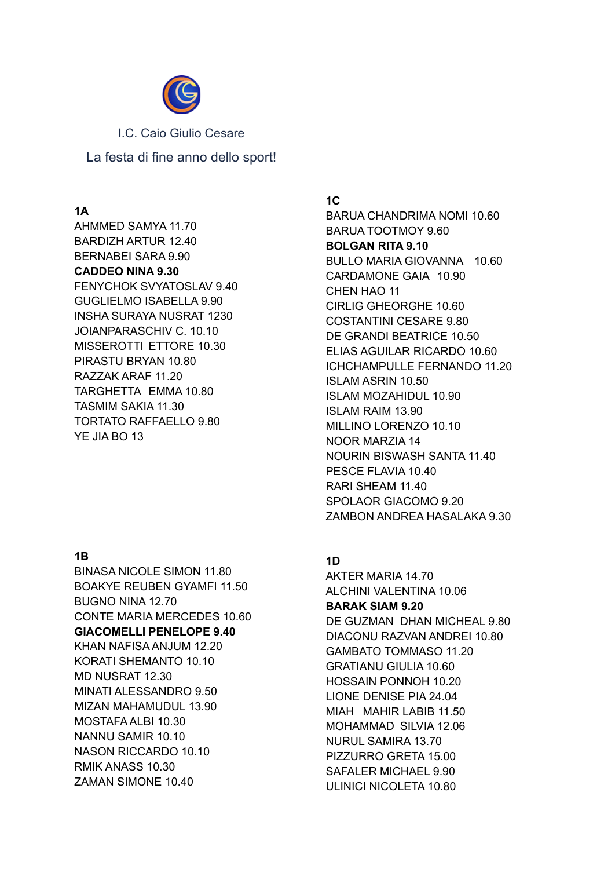

I.C. Caio Giulio Cesare La festa di fine anno dello sport!

## **1A**

AHMMED SAMYA 11.70 BARDIZH ARTUR 12.40 BERNABEI SARA 9.90 **CADDEO NINA 9.30** FENYCHOK SVYATOSLAV 9.40 GUGLIELMO ISABELLA 9.90 INSHA SURAYA NUSRAT 1230 JOIANPARASCHIV C. 10.10 MISSEROTTI ETTORE 10.30 PIRASTU BRYAN 10.80 RAZZAK ARAF 11.20 TARGHETTA EMMA 10.80 TASMIM SAKIA 11.30 TORTATO RAFFAELLO 9.80 YE JIA BO 13

# **1B**

BINASA NICOLE SIMON 11.80 BOAKYE REUBEN GYAMFI 11.50 BUGNO NINA 12.70 CONTE MARIA MERCEDES 10.60 **GIACOMELLI PENELOPE 9.40** KHAN NAFISA ANJUM 12.20 KORATI SHEMANTO 10.10 MD NUSRAT 12.30 MINATI ALESSANDRO 9.50 MIZAN MAHAMUDUL 13.90 MOSTAFA ALBI 10.30 NANNU SAMIR 10.10 NASON RICCARDO 10.10 RMIK ANASS 10.30 ZAMAN SIMONE 10.40

**1C** BARUA CHANDRIMA NOMI 10.60 BARUA TOOTMOY 9.60 **BOLGAN RITA 9.10** BULLO MARIA GIOVANNA 10.60 CARDAMONE GAIA 10.90 CHEN HAO 11 CIRLIG GHEORGHE 10.60 COSTANTINI CESARE 9.80 DE GRANDI BEATRICE 10.50 ELIAS AGUILAR RICARDO 10.60 ICHCHAMPULLE FERNANDO 11.20 ISLAM ASRIN 10.50 ISLAM MOZAHIDUL 10.90 ISLAM RAIM 13.90 MILLINO LORENZO 10.10 NOOR MARZIA 14 NOURIN BISWASH SANTA 11.40 PESCE FLAVIA 10.40 RARI SHEAM 11.40 SPOLAOR GIACOMO 9.20 ZAMBON ANDREA HASALAKA 9.30

# **1D**

AKTER MARIA 14.70 ALCHINI VALENTINA 10.06 **BARAK SIAM 9.20** DE GUZMAN DHAN MICHEAL 9.80 DIACONU RAZVAN ANDREI 10.80 GAMBATO TOMMASO 11.20 GRATIANU GIULIA 10.60 HOSSAIN PONNOH 10.20 LIONE DENISE PIA 24.04 MIAH MAHIR LABIB 11.50 MOHAMMAD SILVIA 12.06 NURUL SAMIRA 13.70 PIZZURRO GRETA 15.00 SAFALER MICHAEL 9.90 ULINICI NICOLETA 10.80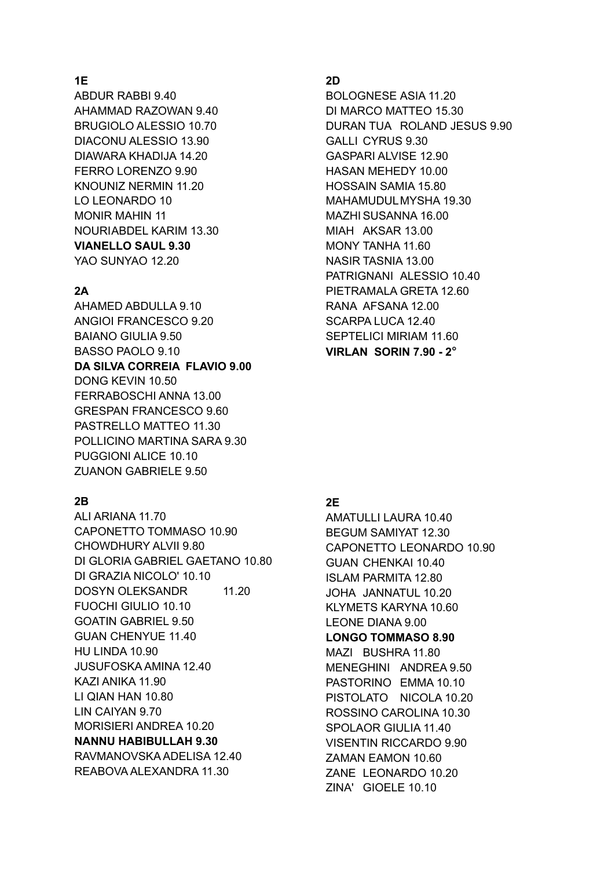## **1E**

ABDUR RABBI 9.40 AHAMMAD RAZOWAN 9.40 BRUGIOLO ALESSIO 10.70 DIACONU ALESSIO 13.90 DIAWARA KHADIJA 14.20 FERRO LORENZO 9.90 KNOUNIZ NERMIN 11.20 LO LEONARDO 10 MONIR MAHIN 11 NOURIABDEL KARIM 13.30 **VIANELLO SAUL 9.30**

YAO SUNYAO 12.20

#### **2A**

AHAMED ABDULLA 9.10 ANGIOI FRANCESCO 9.20 BAIANO GIULIA 9.50 BASSO PAOLO 9.10 **DA SILVA CORREIA FLAVIO 9.00** DONG KEVIN 10.50 FERRABOSCHI ANNA 13.00 GRESPAN FRANCESCO 9.60 PASTRELLO MATTEO 11.30 POLLICINO MARTINA SARA 9.30 PUGGIONI ALICE 10.10 ZUANON GABRIELE 9.50

#### **2B**

ALI ARIANA 11.70 CAPONETTO TOMMASO 10.90 CHOWDHURY ALVII 9.80 DI GLORIA GABRIEL GAETANO 10.80 DI GRAZIA NICOLO' 10.10 DOSYN OLEKSANDR 11.20 FUOCHI GIULIO 10.10 GOATIN GABRIEL 9.50 GUAN CHENYUE 11.40 HU LINDA 10.90 JUSUFOSKA AMINA 12.40 KAZI ANIKA 11.90 LI QIAN HAN 10.80 LIN CAIYAN 9.70 MORISIERI ANDREA 10.20 **NANNU HABIBULLAH 9.30** RAVMANOVSKA ADELISA 12.40 REABOVA ALEXANDRA 11.30

## **2D**

BOLOGNESE ASIA 11.20 DI MARCO MATTEO 15.30 DURAN TUA ROLAND JESUS 9.90 GALLI CYRUS 9.30 GASPARI ALVISE 12.90 HASAN MEHEDY 10.00 HOSSAIN SAMIA 15.80 MAHAMUDULMYSHA 19.30 MAZHISUSANNA 16.00 MIAH AKSAR 13.00 MONY TANHA 11.60 NASIR TASNIA 13.00 PATRIGNANI ALESSIO 10.40 PIETRAMALA GRETA 12.60 RANA AFSANA 12.00 SCARPA LUCA 12.40 SEPTELICI MIRIAM 11.60 **VIRLAN SORIN 7.90 - 2°**

### **2E**

AMATULLI LAURA 10.40 BEGUM SAMIYAT 12.30 CAPONETTO LEONARDO 10.90 GUAN CHENKAI 10.40 ISLAM PARMITA 12.80 JOHA JANNATUL 10.20 KLYMETS KARYNA 10.60 LEONE DIANA 9.00 **LONGO TOMMASO 8.90** MAZI BUSHRA 11.80 MENEGHINI ANDREA 9.50 PASTORINO EMMA 10.10 PISTOLATO NICOLA 10.20 ROSSINO CAROLINA 10.30 SPOLAOR GIULIA 11.40 VISENTIN RICCARDO 9.90 ZAMAN EAMON 10.60 ZANE LEONARDO 10.20 ZINA' GIOELE 10.10